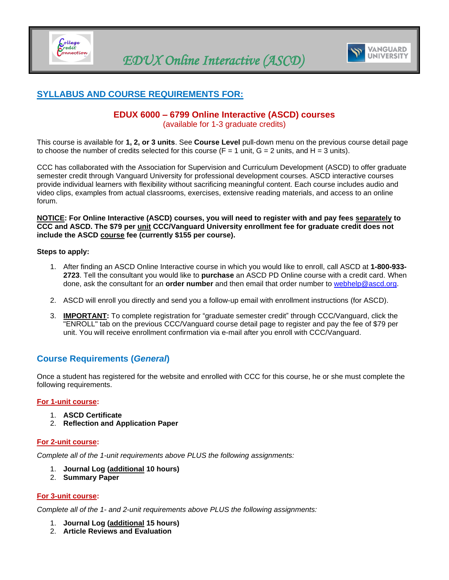



# <span id="page-0-0"></span>**SYLLABUS AND COURSE REQUIREMENTS FOR:**

### **EDUX 6000 – 6799 Online Interactive (ASCD) courses** (available for 1-3 graduate credits)

This course is available for **1, 2, or 3 units**. See **Course Level** pull-down menu on the previous course detail page to choose the number of credits selected for this course ( $F = 1$  unit,  $G = 2$  units, and  $H = 3$  units).

CCC has collaborated with the Association for Supervision and Curriculum Development (ASCD) to offer graduate semester credit through Vanguard University for professional development courses. ASCD interactive courses provide individual learners with flexibility without sacrificing meaningful content. Each course includes audio and video clips, examples from actual classrooms, exercises, extensive reading materials, and access to an online forum.

**NOTICE: For Online Interactive (ASCD) courses, you will need to register with and pay fees separately to CCC and ASCD. The \$79 per unit CCC/Vanguard University enrollment fee for graduate credit does not include the ASCD course fee (currently \$155 per course).**

#### **Steps to apply:**

- 1. After finding an ASCD Online Interactive course in which you would like to enroll, call ASCD at **1-800-933- 2723**. Tell the consultant you would like to **purchase** an ASCD PD Online course with a credit card. When done, ask the consultant for an **order number** and then email that order number to [webhelp@ascd.org.](mailto:webhelp@ascd.org)
- 2. ASCD will enroll you directly and send you a follow-up email with enrollment instructions (for ASCD).
- 3. **IMPORTANT:** To complete registration for "graduate semester credit" through CCC/Vanguard, click the "ENROLL" tab on the previous CCC/Vanguard course detail page to register and pay the fee of \$79 per unit. You will receive enrollment confirmation via e-mail after you enroll with CCC/Vanguard.

## **Course Requirements (***General***)**

Once a student has registered for the website and enrolled with CCC for this course, he or she must complete the following requirements.

#### **For 1-unit course:**

- 1. **ASCD Certificate**
- 2. **Reflection and Application Paper**

#### **For 2-unit course:**

*Complete all of the 1-unit requirements above PLUS the following assignments:*

- 1. **Journal Log (additional 10 hours)**
- 2. **Summary Paper**

#### **For 3-unit course:**

*Complete all of the 1- and 2-unit requirements above PLUS the following assignments:*

- 1. **Journal Log (additional 15 hours)**
- 2. **Article Reviews and Evaluation**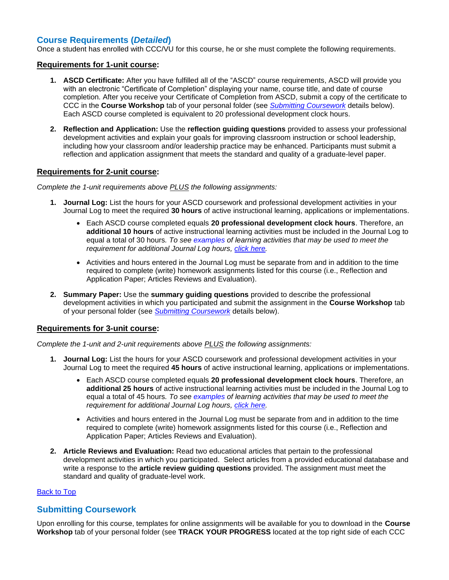### **Course Requirements (***Detailed***)**

Once a student has enrolled with CCC/VU for this course, he or she must complete the following requirements.

#### **Requirements for 1-unit course:**

- **1. ASCD Certificate:** After you have fulfilled all of the "ASCD" course requirements, ASCD will provide you with an electronic "Certificate of Completion" displaying your name, course title, and date of course completion. After you receive your Certificate of Completion from ASCD, submit a copy of the certificate to CCC in the **Course Workshop** tab of your personal folder (see *[Submitting Coursework](#page-1-0)* details below). Each ASCD course completed is equivalent to 20 professional development clock hours.
- **2. Reflection and Application:** Use the **reflection guiding questions** provided to assess your professional development activities and explain your goals for improving classroom instruction or school leadership, including how your classroom and/or leadership practice may be enhanced. Participants must submit a reflection and application assignment that meets the standard and quality of a graduate-level paper.

#### **Requirements for 2-unit course:**

*Complete the 1-unit requirements above PLUS the following assignments:*

- **1. Journal Log:** List the hours for your ASCD coursework and professional development activities in your Journal Log to meet the required **30 hours** of active instructional learning, applications or implementations.
	- Each ASCD course completed equals **20 professional development clock hours**. Therefore, an **additional 10 hours** of active instructional learning activities must be included in the Journal Log to equal a total of 30 hours*. To see [examples](#page-2-0) of learning activities that may be used to meet the requirement for additional Journal Log hours, [click here.](#page-2-0)*
	- Activities and hours entered in the Journal Log must be separate from and in addition to the time required to complete (write) homework assignments listed for this course (i.e., Reflection and Application Paper; Articles Reviews and Evaluation).
- **2. Summary Paper:** Use the **summary guiding questions** provided to describe the professional development activities in which you participated and submit the assignment in the **Course Workshop** tab of your personal folder (see *[Submitting Coursework](#page-1-0)* details below).

#### **Requirements for 3-unit course:**

*Complete the 1-unit and 2-unit requirements above PLUS the following assignments:*

- **1. Journal Log:** List the hours for your ASCD coursework and professional development activities in your Journal Log to meet the required **45 hours** of active instructional learning, applications or implementations.
	- Each ASCD course completed equals **20 professional development clock hours**. Therefore, an **additional 25 hours** of active instructional learning activities must be included in the Journal Log to equal a total of 45 hours*. To see [examples](#page-2-0) of learning activities that may be used to meet the requirement for additional Journal Log hours, [click here.](#page-2-0)*
	- Activities and hours entered in the Journal Log must be separate from and in addition to the time required to complete (write) homework assignments listed for this course (i.e., Reflection and Application Paper; Articles Reviews and Evaluation).
- **2. Article Reviews and Evaluation:** Read two educational articles that pertain to the professional development activities in which you participated. Select articles from a provided educational database and write a response to the **article review guiding questions** provided. The assignment must meet the standard and quality of graduate-level work.

#### [Back to Top](#page-0-0)

### <span id="page-1-0"></span>**Submitting Coursework**

Upon enrolling for this course, templates for online assignments will be available for you to download in the **Course Workshop** tab of your personal folder (see **TRACK YOUR PROGRESS** located at the top right side of each CCC